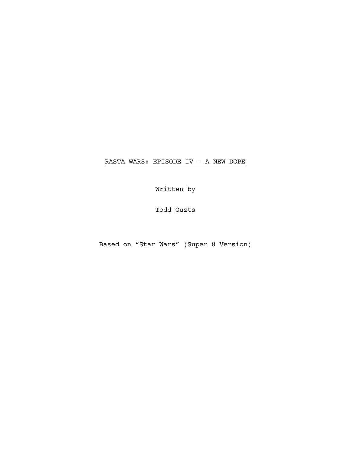RASTA WARS: EPISODE IV - A NEW DOPE

Written by

Todd Ouzts

Based on "Star Wars" (Super 8 Version)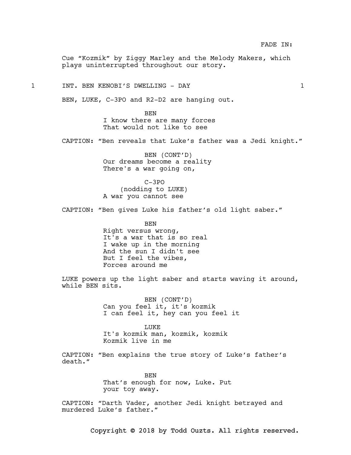Cue "Kozmik" by Ziggy Marley and the Melody Makers, which plays uninterrupted throughout our story.

1 INT. BEN KENOBI'S DWELLING - DAY 1

BEN, LUKE, C-3PO and R2-D2 are hanging out.

BEN I know there are many forces That would not like to see

CAPTION: "Ben reveals that Luke's father was a Jedi knight."

BEN (CONT'D) Our dreams become a reality There's a war going on,

C-3PO (nodding to LUKE) A war you cannot see

CAPTION: "Ben gives Luke his father's old light saber."

BEN Right versus wrong, It's a war that is so real I wake up in the morning And the sun I didn't see But I feel the vibes, Forces around me

LUKE powers up the light saber and starts waving it around, while BEN sits.

> BEN (CONT'D) Can you feel it, it's kozmik I can feel it, hey can you feel it

LUKE It's kozmik man, kozmik, kozmik Kozmik live in me

CAPTION: "Ben explains the true story of Luke's father's death."

> **BEN** That's enough for now, Luke. Put your toy away.

CAPTION: "Darth Vader, another Jedi knight betrayed and murdered Luke's father."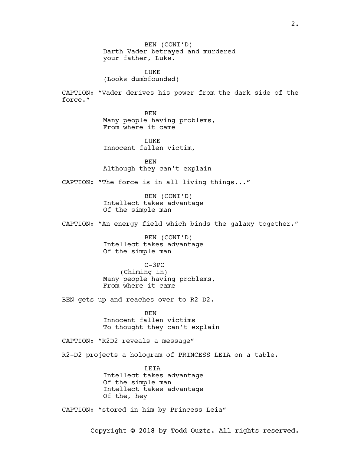BEN (CONT'D) Darth Vader betrayed and murdered your father, Luke.

LUKE (Looks dumbfounded)

CAPTION: "Vader derives his power from the dark side of the force."

> BEN Many people having problems, From where it came

**LUKE** Innocent fallen victim,

**BEN** Although they can't explain

CAPTION: "The force is in all living things..."

BEN (CONT'D) Intellect takes advantage Of the simple man

CAPTION: "An energy field which binds the galaxy together."

BEN (CONT'D) Intellect takes advantage Of the simple man

C-3PO (Chiming in) Many people having problems, From where it came

BEN gets up and reaches over to R2-D2.

BEN Innocent fallen victims To thought they can't explain

CAPTION: "R2D2 reveals a message"

R2-D2 projects a hologram of PRINCESS LEIA on a table.

LEIA Intellect takes advantage Of the simple man Intellect takes advantage Of the, hey

CAPTION: "stored in him by Princess Leia"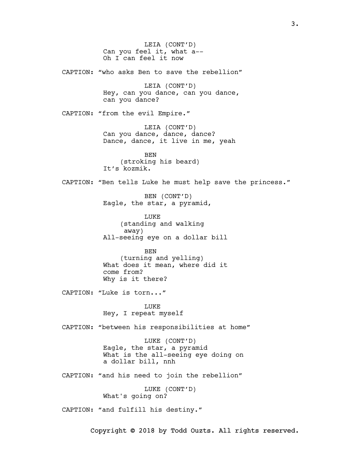LEIA (CONT'D) Can you feel it, what a-- Oh I can feel it now CAPTION: "who asks Ben to save the rebellion" LEIA (CONT'D) Hey, can you dance, can you dance, can you dance? CAPTION: "from the evil Empire." LEIA (CONT'D) Can you dance, dance, dance? Dance, dance, it live in me, yeah BEN (stroking his beard) It's kozmik. CAPTION: "Ben tells Luke he must help save the princess." BEN (CONT'D) Eagle, the star, a pyramid, LUKE (standing and walking away) All-seeing eye on a dollar bill BEN (turning and yelling) What does it mean, where did it come from? Why is it there? CAPTION: "Luke is torn..." LUKE Hey, I repeat myself CAPTION: "between his responsibilities at home" LUKE (CONT'D) Eagle, the star, a pyramid What is the all-seeing eye doing on a dollar bill, nnh CAPTION: "and his need to join the rebellion" LUKE (CONT'D) What's going on? CAPTION: "and fulfill his destiny."

Copyright © 2018 by Todd Ouzts. All rights reserved.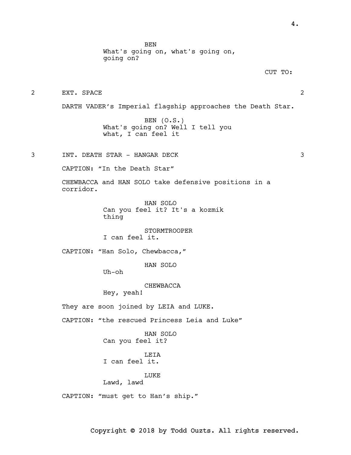BEN

What's going on, what's going on,

going on? CUT TO: 2 EXT. SPACE 2 DARTH VADER's Imperial flagship approaches the Death Star. BEN (O.S.) What's going on? Well I tell you what, I can feel it 3 INT. DEATH STAR - HANGAR DECK 3 CAPTION: "In the Death Star" CHEWBACCA and HAN SOLO take defensive positions in a corridor. HAN SOLO Can you feel it? It's a kozmik thing STORMTROOPER I can feel it. CAPTION: "Han Solo, Chewbacca," HAN SOLO Uh-oh CHEWBACCA Hey, yeah! They are soon joined by LEIA and LUKE. CAPTION: "the rescued Princess Leia and Luke" HAN SOLO Can you feel it? LEIA I can feel it. LUKE Lawd, lawd CAPTION: "must get to Han's ship."

4.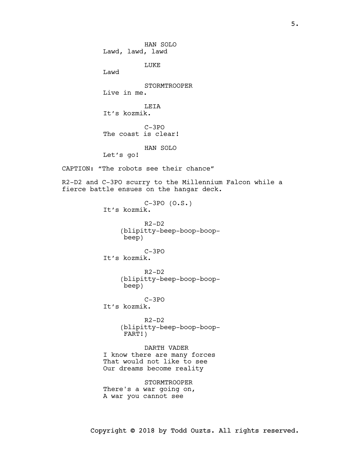HAN SOLO Lawd, lawd, lawd LUKE Lawd STORMTROOPER Live in me. LEIA It's kozmik. C-3PO The coast is clear! HAN SOLO Let's go! CAPTION: "The robots see their chance" R2-D2 and C-3PO scurry to the Millennium Falcon while a fierce battle ensues on the hangar deck. C-3PO (O.S.) It's kozmik.  $R^2-D^2$ (blipitty-beep-boop-boopbeep) C-3PO It's kozmik. R2-D2 (blipitty-beep-boop-boopbeep) C-3PO It's kozmik.  $R2-D2$ (blipitty-beep-boop-boop-FART!) DARTH VADER I know there are many forces That would not like to see Our dreams become reality STORMTROOPER There's a war going on, A war you cannot see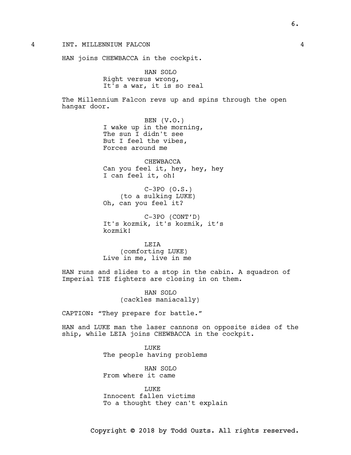4 INT. MILLENNIUM FALCON 4

HAN joins CHEWBACCA in the cockpit.

HAN SOLO Right versus wrong, It's a war, it is so real

The Millennium Falcon revs up and spins through the open hangar door.

> BEN (V.O.) I wake up in the morning, The sun I didn't see But I feel the vibes, Forces around me

CHEWBACCA Can you feel it, hey, hey, hey I can feel it, oh!

C-3PO (O.S.) (to a sulking LUKE) Oh, can you feel it?

C-3PO (CONT'D) It's kozmik, it's kozmik, it's kozmik!

LEIA (comforting LUKE) Live in me, live in me

HAN runs and slides to a stop in the cabin. A squadron of Imperial TIE fighters are closing in on them.

> HAN SOLO (cackles maniacally)

CAPTION: "They prepare for battle."

HAN and LUKE man the laser cannons on opposite sides of the ship, while LEIA joins CHEWBACCA in the cockpit.

> LUKE The people having problems

HAN SOLO From where it came

LUKE Innocent fallen victims To a thought they can't explain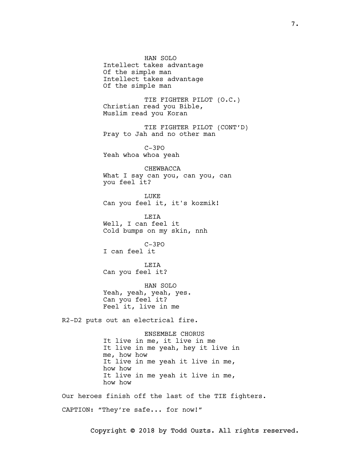HAN SOLO Intellect takes advantage Of the simple man Intellect takes advantage Of the simple man

TIE FIGHTER PILOT (O.C.) Christian read you Bible, Muslim read you Koran

TIE FIGHTER PILOT (CONT'D) Pray to Jah and no other man

C-3PO Yeah whoa whoa yeah

CHEWBACCA What I say can you, can you, can you feel it?

**LUKE** Can you feel it, it's kozmik!

LEIA Well, I can feel it Cold bumps on my skin, nnh

C-3PO I can feel it

LEIA Can you feel it?

HAN SOLO Yeah, yeah, yeah, yes. Can you feel it? Feel it, live in me

R2-D2 puts out an electrical fire.

ENSEMBLE CHORUS It live in me, it live in me It live in me yeah, hey it live in me, how how It live in me yeah it live in me, how how It live in me yeah it live in me, how how

Our heroes finish off the last of the TIE fighters.

CAPTION: "They're safe... for now!"